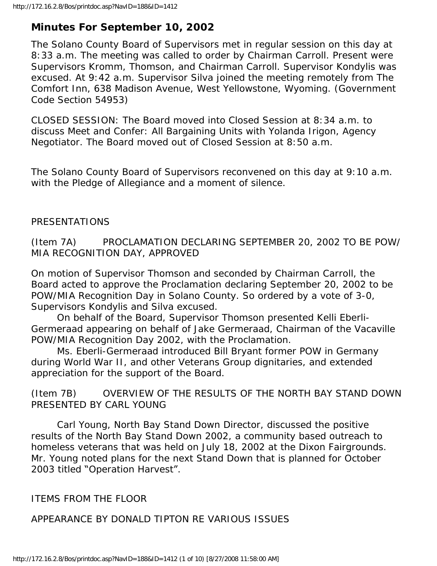# **Minutes For September 10, 2002**

The Solano County Board of Supervisors met in regular session on this day at 8:33 a.m. The meeting was called to order by Chairman Carroll. Present were Supervisors Kromm, Thomson, and Chairman Carroll. Supervisor Kondylis was excused. At 9:42 a.m. Supervisor Silva joined the meeting remotely from The Comfort Inn, 638 Madison Avenue, West Yellowstone, Wyoming. (Government Code Section 54953)

CLOSED SESSION: The Board moved into Closed Session at 8:34 a.m. to discuss Meet and Confer: All Bargaining Units with Yolanda Irigon, Agency Negotiator. The Board moved out of Closed Session at 8:50 a.m.

The Solano County Board of Supervisors reconvened on this day at 9:10 a.m. with the Pledge of Allegiance and a moment of silence.

### PRESENTATIONS

(Item 7A) PROCLAMATION DECLARING SEPTEMBER 20, 2002 TO BE POW/ MIA RECOGNITION DAY, APPROVED

On motion of Supervisor Thomson and seconded by Chairman Carroll, the Board acted to approve the Proclamation declaring September 20, 2002 to be POW/MIA Recognition Day in Solano County. So ordered by a vote of 3-0, Supervisors Kondylis and Silva excused.

 On behalf of the Board, Supervisor Thomson presented Kelli Eberli-Germeraad appearing on behalf of Jake Germeraad, Chairman of the Vacaville POW/MIA Recognition Day 2002, with the Proclamation.

 Ms. Eberli-Germeraad introduced Bill Bryant former POW in Germany during World War II, and other Veterans Group dignitaries, and extended appreciation for the support of the Board.

(Item 7B) OVERVIEW OF THE RESULTS OF THE NORTH BAY STAND DOWN PRESENTED BY CARL YOUNG

 Carl Young, North Bay Stand Down Director, discussed the positive results of the North Bay Stand Down 2002, a community based outreach to homeless veterans that was held on July 18, 2002 at the Dixon Fairgrounds. Mr. Young noted plans for the next Stand Down that is planned for October 2003 titled "Operation Harvest".

ITEMS FROM THE FLOOR

APPEARANCE BY DONALD TIPTON RE VARIOUS ISSUES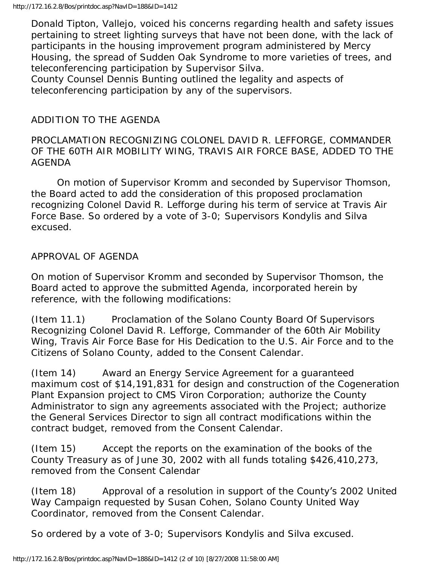Donald Tipton, Vallejo, voiced his concerns regarding health and safety issues pertaining to street lighting surveys that have not been done, with the lack of participants in the housing improvement program administered by Mercy Housing, the spread of Sudden Oak Syndrome to more varieties of trees, and teleconferencing participation by Supervisor Silva.

County Counsel Dennis Bunting outlined the legality and aspects of teleconferencing participation by any of the supervisors.

## ADDITION TO THE AGENDA

### PROCLAMATION RECOGNIZING COLONEL DAVID R. LEFFORGE, COMMANDER OF THE 60TH AIR MOBILITY WING, TRAVIS AIR FORCE BASE, ADDED TO THE AGENDA

 On motion of Supervisor Kromm and seconded by Supervisor Thomson, the Board acted to add the consideration of this proposed proclamation recognizing Colonel David R. Lefforge during his term of service at Travis Air Force Base. So ordered by a vote of 3-0; Supervisors Kondylis and Silva excused.

### APPROVAL OF AGENDA

On motion of Supervisor Kromm and seconded by Supervisor Thomson, the Board acted to approve the submitted Agenda, incorporated herein by reference, with the following modifications:

(Item 11.1) Proclamation of the Solano County Board Of Supervisors Recognizing Colonel David R. Lefforge, Commander of the 60th Air Mobility Wing, Travis Air Force Base for His Dedication to the U.S. Air Force and to the Citizens of Solano County, added to the Consent Calendar.

(Item 14) Award an Energy Service Agreement for a guaranteed maximum cost of \$14,191,831 for design and construction of the Cogeneration Plant Expansion project to CMS Viron Corporation; authorize the County Administrator to sign any agreements associated with the Project; authorize the General Services Director to sign all contract modifications within the contract budget, removed from the Consent Calendar.

(Item 15) Accept the reports on the examination of the books of the County Treasury as of June 30, 2002 with all funds totaling \$426,410,273, removed from the Consent Calendar

(Item 18) Approval of a resolution in support of the County's 2002 United Way Campaign requested by Susan Cohen, Solano County United Way Coordinator, removed from the Consent Calendar.

So ordered by a vote of 3-0; Supervisors Kondylis and Silva excused.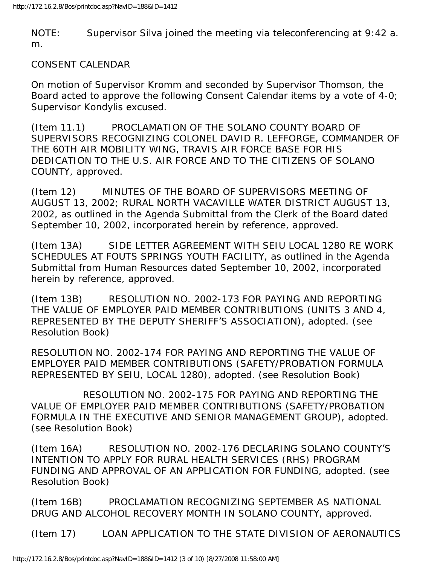NOTE: Supervisor Silva joined the meeting via teleconferencing at 9:42 a. m.

#### CONSENT CALENDAR

On motion of Supervisor Kromm and seconded by Supervisor Thomson, the Board acted to approve the following Consent Calendar items by a vote of 4-0; Supervisor Kondylis excused.

(Item 11.1) PROCLAMATION OF THE SOLANO COUNTY BOARD OF SUPERVISORS RECOGNIZING COLONEL DAVID R. LEFFORGE, COMMANDER OF THE 60TH AIR MOBILITY WING, TRAVIS AIR FORCE BASE FOR HIS DEDICATION TO THE U.S. AIR FORCE AND TO THE CITIZENS OF SOLANO COUNTY, approved.

(Item 12) MINUTES OF THE BOARD OF SUPERVISORS MEETING OF AUGUST 13, 2002; RURAL NORTH VACAVILLE WATER DISTRICT AUGUST 13, 2002, as outlined in the Agenda Submittal from the Clerk of the Board dated September 10, 2002, incorporated herein by reference, approved.

(Item 13A) SIDE LETTER AGREEMENT WITH SEIU LOCAL 1280 RE WORK SCHEDULES AT FOUTS SPRINGS YOUTH FACILITY, as outlined in the Agenda Submittal from Human Resources dated September 10, 2002, incorporated herein by reference, approved.

(Item 13B) RESOLUTION NO. 2002-173 FOR PAYING AND REPORTING THE VALUE OF EMPLOYER PAID MEMBER CONTRIBUTIONS (UNITS 3 AND 4, REPRESENTED BY THE DEPUTY SHERIFF'S ASSOCIATION), adopted. (see Resolution Book)

RESOLUTION NO. 2002-174 FOR PAYING AND REPORTING THE VALUE OF EMPLOYER PAID MEMBER CONTRIBUTIONS (SAFETY/PROBATION FORMULA REPRESENTED BY SEIU, LOCAL 1280), adopted. (see Resolution Book)

 RESOLUTION NO. 2002-175 FOR PAYING AND REPORTING THE VALUE OF EMPLOYER PAID MEMBER CONTRIBUTIONS (SAFETY/PROBATION FORMULA IN THE EXECUTIVE AND SENIOR MANAGEMENT GROUP), adopted. (see Resolution Book)

(Item 16A) RESOLUTION NO. 2002-176 DECLARING SOLANO COUNTY'S INTENTION TO APPLY FOR RURAL HEALTH SERVICES (RHS) PROGRAM FUNDING AND APPROVAL OF AN APPLICATION FOR FUNDING, adopted. (see Resolution Book)

(Item 16B) PROCLAMATION RECOGNIZING SEPTEMBER AS NATIONAL DRUG AND ALCOHOL RECOVERY MONTH IN SOLANO COUNTY, approved.

(Item 17) LOAN APPLICATION TO THE STATE DIVISION OF AERONAUTICS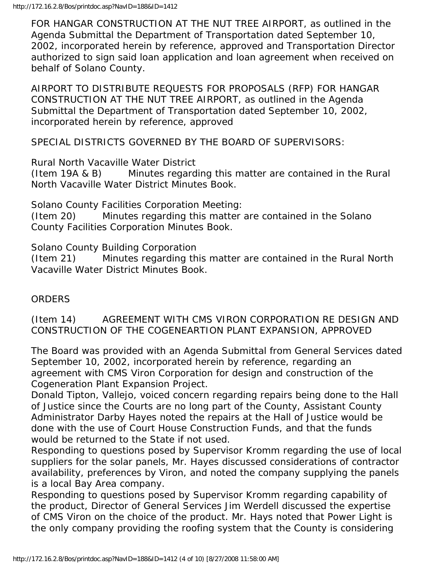FOR HANGAR CONSTRUCTION AT THE NUT TREE AIRPORT, as outlined in the Agenda Submittal the Department of Transportation dated September 10, 2002, incorporated herein by reference, approved and Transportation Director authorized to sign said loan application and loan agreement when received on behalf of Solano County.

AIRPORT TO DISTRIBUTE REQUESTS FOR PROPOSALS (RFP) FOR HANGAR CONSTRUCTION AT THE NUT TREE AIRPORT, as outlined in the Agenda Submittal the Department of Transportation dated September 10, 2002, incorporated herein by reference, approved

SPECIAL DISTRICTS GOVERNED BY THE BOARD OF SUPERVISORS:

Rural North Vacaville Water District

(Item 19A & B) Minutes regarding this matter are contained in the Rural North Vacaville Water District Minutes Book.

Solano County Facilities Corporation Meeting:

(Item 20) Minutes regarding this matter are contained in the Solano County Facilities Corporation Minutes Book.

Solano County Building Corporation

(Item 21) Minutes regarding this matter are contained in the Rural North Vacaville Water District Minutes Book.

## **ORDERS**

(Item 14) AGREEMENT WITH CMS VIRON CORPORATION RE DESIGN AND CONSTRUCTION OF THE COGENEARTION PLANT EXPANSION, APPROVED

The Board was provided with an Agenda Submittal from General Services dated September 10, 2002, incorporated herein by reference, regarding an agreement with CMS Viron Corporation for design and construction of the Cogeneration Plant Expansion Project.

Donald Tipton, Vallejo, voiced concern regarding repairs being done to the Hall of Justice since the Courts are no long part of the County, Assistant County Administrator Darby Hayes noted the repairs at the Hall of Justice would be done with the use of Court House Construction Funds, and that the funds would be returned to the State if not used.

Responding to questions posed by Supervisor Kromm regarding the use of local suppliers for the solar panels, Mr. Hayes discussed considerations of contractor availability, preferences by Viron, and noted the company supplying the panels is a local Bay Area company.

Responding to questions posed by Supervisor Kromm regarding capability of the product, Director of General Services Jim Werdell discussed the expertise of CMS Viron on the choice of the product. Mr. Hays noted that Power Light is the only company providing the roofing system that the County is considering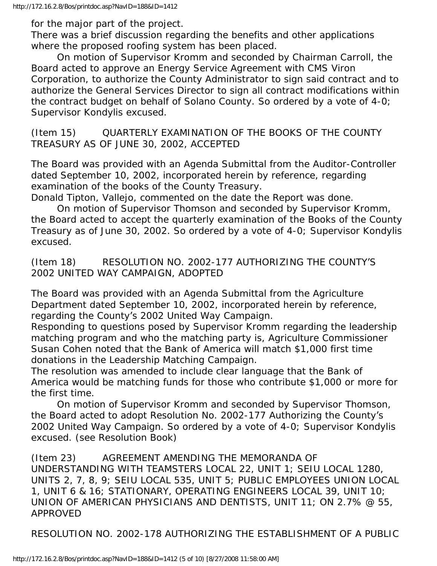for the major part of the project.

There was a brief discussion regarding the benefits and other applications where the proposed roofing system has been placed.

 On motion of Supervisor Kromm and seconded by Chairman Carroll, the Board acted to approve an Energy Service Agreement with CMS Viron Corporation, to authorize the County Administrator to sign said contract and to authorize the General Services Director to sign all contract modifications within the contract budget on behalf of Solano County. So ordered by a vote of 4-0; Supervisor Kondylis excused.

(Item 15) QUARTERLY EXAMINATION OF THE BOOKS OF THE COUNTY TREASURY AS OF JUNE 30, 2002, ACCEPTED

The Board was provided with an Agenda Submittal from the Auditor-Controller dated September 10, 2002, incorporated herein by reference, regarding examination of the books of the County Treasury.

Donald Tipton, Vallejo, commented on the date the Report was done.

 On motion of Supervisor Thomson and seconded by Supervisor Kromm, the Board acted to accept the quarterly examination of the Books of the County Treasury as of June 30, 2002. So ordered by a vote of 4-0; Supervisor Kondylis excused.

(Item 18) RESOLUTION NO. 2002-177 AUTHORIZING THE COUNTY'S 2002 UNITED WAY CAMPAIGN, ADOPTED

The Board was provided with an Agenda Submittal from the Agriculture Department dated September 10, 2002, incorporated herein by reference, regarding the County's 2002 United Way Campaign.

Responding to questions posed by Supervisor Kromm regarding the leadership matching program and who the matching party is, Agriculture Commissioner Susan Cohen noted that the Bank of America will match \$1,000 first time donations in the Leadership Matching Campaign.

The resolution was amended to include clear language that the Bank of America would be matching funds for those who contribute \$1,000 or more for the first time.

 On motion of Supervisor Kromm and seconded by Supervisor Thomson, the Board acted to adopt Resolution No. 2002-177 Authorizing the County's 2002 United Way Campaign. So ordered by a vote of 4-0; Supervisor Kondylis excused. (see Resolution Book)

(Item 23) AGREEMENT AMENDING THE MEMORANDA OF UNDERSTANDING WITH TEAMSTERS LOCAL 22, UNIT 1; SEIU LOCAL 1280, UNITS 2, 7, 8, 9; SEIU LOCAL 535, UNIT 5; PUBLIC EMPLOYEES UNION LOCAL 1, UNIT 6 & 16; STATIONARY, OPERATING ENGINEERS LOCAL 39, UNIT 10; UNION OF AMERICAN PHYSICIANS AND DENTISTS, UNIT 11; ON 2.7% @ 55, APPROVED

RESOLUTION NO. 2002-178 AUTHORIZING THE ESTABLISHMENT OF A PUBLIC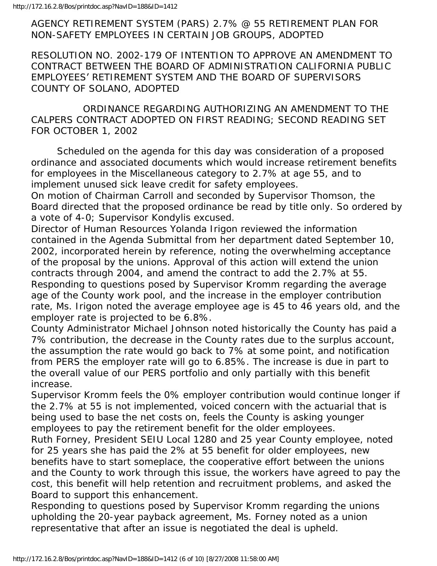AGENCY RETIREMENT SYSTEM (PARS) 2.7% @ 55 RETIREMENT PLAN FOR NON-SAFETY EMPLOYEES IN CERTAIN JOB GROUPS, ADOPTED

RESOLUTION NO. 2002-179 OF INTENTION TO APPROVE AN AMENDMENT TO CONTRACT BETWEEN THE BOARD OF ADMINISTRATION CALIFORNIA PUBLIC EMPLOYEES' RETIREMENT SYSTEM AND THE BOARD OF SUPERVISORS COUNTY OF SOLANO, ADOPTED

 ORDINANCE REGARDING AUTHORIZING AN AMENDMENT TO THE CALPERS CONTRACT ADOPTED ON FIRST READING; SECOND READING SET FOR OCTOBER 1, 2002

 Scheduled on the agenda for this day was consideration of a proposed ordinance and associated documents which would increase retirement benefits for employees in the Miscellaneous category to 2.7% at age 55, and to implement unused sick leave credit for safety employees.

On motion of Chairman Carroll and seconded by Supervisor Thomson, the Board directed that the proposed ordinance be read by title only. So ordered by a vote of 4-0; Supervisor Kondylis excused.

Director of Human Resources Yolanda Irigon reviewed the information contained in the Agenda Submittal from her department dated September 10, 2002, incorporated herein by reference, noting the overwhelming acceptance of the proposal by the unions. Approval of this action will extend the union contracts through 2004, and amend the contract to add the 2.7% at 55. Responding to questions posed by Supervisor Kromm regarding the average age of the County work pool, and the increase in the employer contribution rate, Ms. Irigon noted the average employee age is 45 to 46 years old, and the employer rate is projected to be 6.8%.

County Administrator Michael Johnson noted historically the County has paid a 7% contribution, the decrease in the County rates due to the surplus account, the assumption the rate would go back to 7% at some point, and notification from PERS the employer rate will go to 6.85%. The increase is due in part to the overall value of our PERS portfolio and only partially with this benefit increase.

Supervisor Kromm feels the 0% employer contribution would continue longer if the 2.7% at 55 is not implemented, voiced concern with the actuarial that is being used to base the net costs on, feels the County is asking younger employees to pay the retirement benefit for the older employees.

Ruth Forney, President SEIU Local 1280 and 25 year County employee, noted for 25 years she has paid the 2% at 55 benefit for older employees, new benefits have to start someplace, the cooperative effort between the unions and the County to work through this issue, the workers have agreed to pay the cost, this benefit will help retention and recruitment problems, and asked the Board to support this enhancement.

Responding to questions posed by Supervisor Kromm regarding the unions upholding the 20-year payback agreement, Ms. Forney noted as a union representative that after an issue is negotiated the deal is upheld.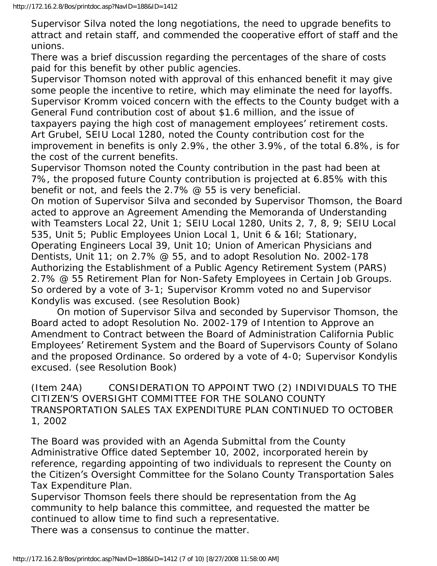Supervisor Silva noted the long negotiations, the need to upgrade benefits to attract and retain staff, and commended the cooperative effort of staff and the unions.

There was a brief discussion regarding the percentages of the share of costs paid for this benefit by other public agencies.

Supervisor Thomson noted with approval of this enhanced benefit it may give some people the incentive to retire, which may eliminate the need for layoffs. Supervisor Kromm voiced concern with the effects to the County budget with a General Fund contribution cost of about \$1.6 million, and the issue of taxpayers paying the high cost of management employees' retirement costs. Art Grubel, SEIU Local 1280, noted the County contribution cost for the improvement in benefits is only 2.9%, the other 3.9%, of the total 6.8%, is for the cost of the current benefits.

Supervisor Thomson noted the County contribution in the past had been at 7%, the proposed future County contribution is projected at 6.85% with this benefit or not, and feels the 2.7% @ 55 is very beneficial.

On motion of Supervisor Silva and seconded by Supervisor Thomson, the Board acted to approve an Agreement Amending the Memoranda of Understanding with Teamsters Local 22, Unit 1; SEIU Local 1280, Units 2, 7, 8, 9; SEIU Local 535, Unit 5; Public Employees Union Local 1, Unit 6 & 16l; Stationary, Operating Engineers Local 39, Unit 10; Union of American Physicians and Dentists, Unit 11; on 2.7% @ 55, and to adopt Resolution No. 2002-178 Authorizing the Establishment of a Public Agency Retirement System (PARS) 2.7% @ 55 Retirement Plan for Non-Safety Employees in Certain Job Groups. So ordered by a vote of 3-1; Supervisor Kromm voted no and Supervisor Kondylis was excused. (see Resolution Book)

 On motion of Supervisor Silva and seconded by Supervisor Thomson, the Board acted to adopt Resolution No. 2002-179 of Intention to Approve an Amendment to Contract between the Board of Administration California Public Employees' Retirement System and the Board of Supervisors County of Solano and the proposed Ordinance. So ordered by a vote of 4-0; Supervisor Kondylis excused. (see Resolution Book)

(Item 24A) CONSIDERATION TO APPOINT TWO (2) INDIVIDUALS TO THE CITIZEN'S OVERSIGHT COMMITTEE FOR THE SOLANO COUNTY TRANSPORTATION SALES TAX EXPENDITURE PLAN CONTINUED TO OCTOBER 1, 2002

The Board was provided with an Agenda Submittal from the County Administrative Office dated September 10, 2002, incorporated herein by reference, regarding appointing of two individuals to represent the County on the Citizen's Oversight Committee for the Solano County Transportation Sales Tax Expenditure Plan.

Supervisor Thomson feels there should be representation from the Ag community to help balance this committee, and requested the matter be continued to allow time to find such a representative.

There was a consensus to continue the matter.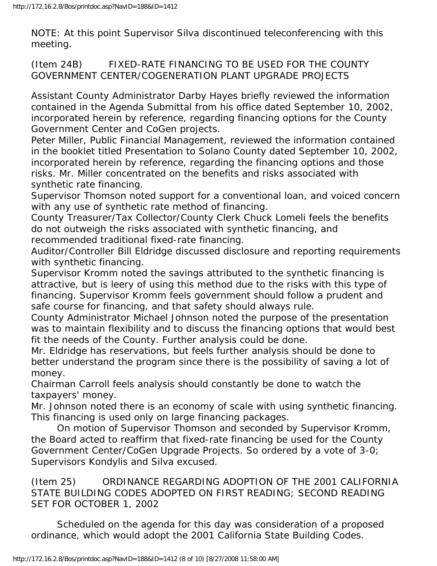NOTE: At this point Supervisor Silva discontinued teleconferencing with this meeting.

(Item 24B) FIXED-RATE FINANCING TO BE USED FOR THE COUNTY GOVERNMENT CENTER/COGENERATION PLANT UPGRADE PROJECTS

Assistant County Administrator Darby Hayes briefly reviewed the information contained in the Agenda Submittal from his office dated September 10, 2002, incorporated herein by reference, regarding financing options for the County Government Center and CoGen projects.

Peter Miller, Public Financial Management, reviewed the information contained in the booklet titled Presentation to Solano County dated September 10, 2002, incorporated herein by reference, regarding the financing options and those risks. Mr. Miller concentrated on the benefits and risks associated with synthetic rate financing.

Supervisor Thomson noted support for a conventional loan, and voiced concern with any use of synthetic rate method of financing.

County Treasurer/Tax Collector/County Clerk Chuck Lomeli feels the benefits do not outweigh the risks associated with synthetic financing, and recommended traditional fixed-rate financing.

Auditor/Controller Bill Eldridge discussed disclosure and reporting requirements with synthetic financing.

Supervisor Kromm noted the savings attributed to the synthetic financing is attractive, but is leery of using this method due to the risks with this type of financing. Supervisor Kromm feels government should follow a prudent and safe course for financing, and that safety should always rule.

County Administrator Michael Johnson noted the purpose of the presentation was to maintain flexibility and to discuss the financing options that would best fit the needs of the County. Further analysis could be done.

Mr. Eldridge has reservations, but feels further analysis should be done to better understand the program since there is the possibility of saving a lot of money.

Chairman Carroll feels analysis should constantly be done to watch the taxpayers' money.

Mr. Johnson noted there is an economy of scale with using synthetic financing. This financing is used only on large financing packages.

 On motion of Supervisor Thomson and seconded by Supervisor Kromm, the Board acted to reaffirm that fixed-rate financing be used for the County Government Center/CoGen Upgrade Projects. So ordered by a vote of 3-0; Supervisors Kondylis and Silva excused.

(Item 25) ORDINANCE REGARDING ADOPTION OF THE 2001 CALIFORNIA STATE BUILDING CODES ADOPTED ON FIRST READING; SECOND READING SET FOR OCTOBER 1, 2002

 Scheduled on the agenda for this day was consideration of a proposed ordinance, which would adopt the 2001 California State Building Codes.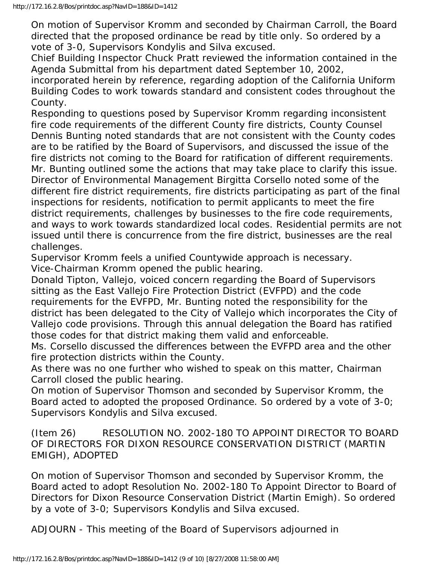On motion of Supervisor Kromm and seconded by Chairman Carroll, the Board directed that the proposed ordinance be read by title only. So ordered by a vote of 3-0, Supervisors Kondylis and Silva excused.

Chief Building Inspector Chuck Pratt reviewed the information contained in the Agenda Submittal from his department dated September 10, 2002,

incorporated herein by reference, regarding adoption of the California Uniform Building Codes to work towards standard and consistent codes throughout the County.

Responding to questions posed by Supervisor Kromm regarding inconsistent fire code requirements of the different County fire districts, County Counsel Dennis Bunting noted standards that are not consistent with the County codes are to be ratified by the Board of Supervisors, and discussed the issue of the fire districts not coming to the Board for ratification of different requirements. Mr. Bunting outlined some the actions that may take place to clarify this issue. Director of Environmental Management Birgitta Corsello noted some of the different fire district requirements, fire districts participating as part of the final inspections for residents, notification to permit applicants to meet the fire district requirements, challenges by businesses to the fire code requirements, and ways to work towards standardized local codes. Residential permits are not issued until there is concurrence from the fire district, businesses are the real challenges.

Supervisor Kromm feels a unified Countywide approach is necessary. Vice-Chairman Kromm opened the public hearing.

Donald Tipton, Vallejo, voiced concern regarding the Board of Supervisors sitting as the East Vallejo Fire Protection District (EVFPD) and the code requirements for the EVFPD, Mr. Bunting noted the responsibility for the district has been delegated to the City of Vallejo which incorporates the City of Vallejo code provisions. Through this annual delegation the Board has ratified those codes for that district making them valid and enforceable.

Ms. Corsello discussed the differences between the EVFPD area and the other fire protection districts within the County.

As there was no one further who wished to speak on this matter, Chairman Carroll closed the public hearing.

On motion of Supervisor Thomson and seconded by Supervisor Kromm, the Board acted to adopted the proposed Ordinance. So ordered by a vote of 3-0; Supervisors Kondylis and Silva excused.

(Item 26) RESOLUTION NO. 2002-180 TO APPOINT DIRECTOR TO BOARD OF DIRECTORS FOR DIXON RESOURCE CONSERVATION DISTRICT (MARTIN EMIGH), ADOPTED

On motion of Supervisor Thomson and seconded by Supervisor Kromm, the Board acted to adopt Resolution No. 2002-180 To Appoint Director to Board of Directors for Dixon Resource Conservation District (Martin Emigh). So ordered by a vote of 3-0; Supervisors Kondylis and Silva excused.

ADJOURN - This meeting of the Board of Supervisors adjourned in